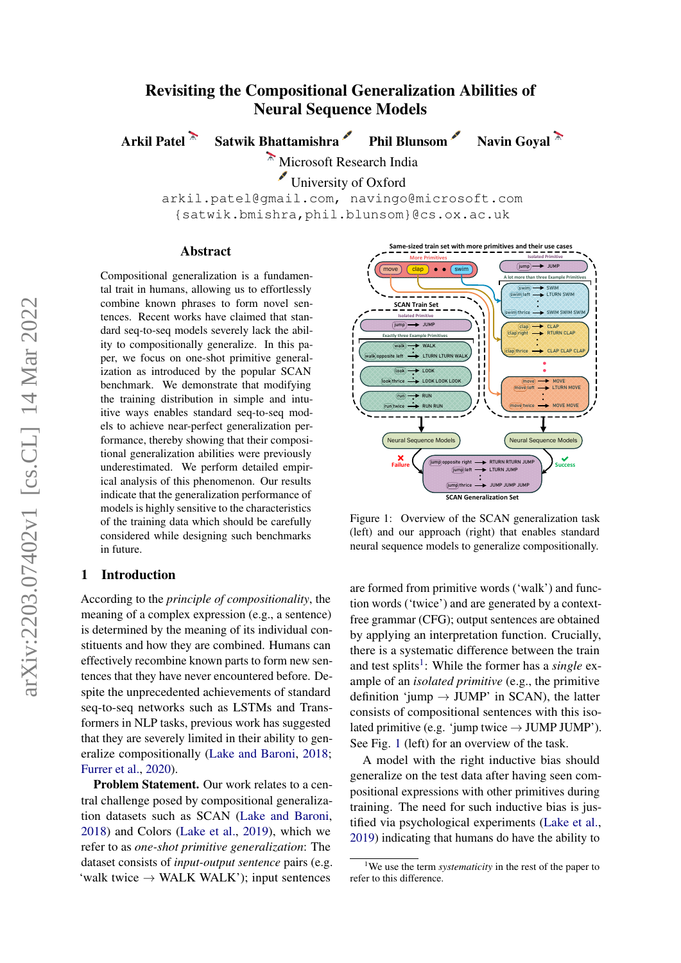# Revisiting the Compositional Generalization Abilities of Neural Sequence Models

Arkil Patel **Satwik Bhattamishra** Phil Blunsom Navin Goyal

Microsoft Research India

University of Oxford

arkil.patel@gmail.com, navingo@microsoft.com {satwik.bmishra,phil.blunsom}@cs.ox.ac.uk

#### Abstract

Compositional generalization is a fundamental trait in humans, allowing us to effortlessly combine known phrases to form novel sentences. Recent works have claimed that standard seq-to-seq models severely lack the ability to compositionally generalize. In this paper, we focus on one-shot primitive generalization as introduced by the popular SCAN benchmark. We demonstrate that modifying the training distribution in simple and intuitive ways enables standard seq-to-seq models to achieve near-perfect generalization performance, thereby showing that their compositional generalization abilities were previously underestimated. We perform detailed empirical analysis of this phenomenon. Our results indicate that the generalization performance of models is highly sensitive to the characteristics of the training data which should be carefully considered while designing such benchmarks in future.

#### 1 Introduction

According to the *principle of compositionality*, the meaning of a complex expression (e.g., a sentence) is determined by the meaning of its individual constituents and how they are combined. Humans can effectively recombine known parts to form new sentences that they have never encountered before. Despite the unprecedented achievements of standard seq-to-seq networks such as LSTMs and Transformers in NLP tasks, previous work has suggested that they are severely limited in their ability to generalize compositionally [\(Lake and Baroni,](#page-5-0) [2018;](#page-5-0) [Furrer et al.,](#page-5-1) [2020\)](#page-5-1).

Problem Statement. Our work relates to a central challenge posed by compositional generalization datasets such as SCAN [\(Lake and Baroni,](#page-5-0) [2018\)](#page-5-0) and Colors [\(Lake et al.,](#page-5-2) [2019\)](#page-5-2), which we refer to as *one-shot primitive generalization*: The dataset consists of *input-output sentence* pairs (e.g. 'walk twice  $\rightarrow$  WALK WALK'); input sentences

<span id="page-0-1"></span>

Figure 1: Overview of the SCAN generalization task (left) and our approach (right) that enables standard neural sequence models to generalize compositionally.

are formed from primitive words ('walk') and function words ('twice') and are generated by a contextfree grammar (CFG); output sentences are obtained by applying an interpretation function. Crucially, there is a systematic difference between the train and test splits<sup>[1](#page-0-0)</sup>: While the former has a *single* example of an *isolated primitive* (e.g., the primitive definition 'jump  $\rightarrow$  JUMP' in SCAN), the latter consists of compositional sentences with this isolated primitive (e.g. 'jump twice  $\rightarrow$  JUMP JUMP'). See Fig. [1](#page-0-1) (left) for an overview of the task.

A model with the right inductive bias should generalize on the test data after having seen compositional expressions with other primitives during training. The need for such inductive bias is justified via psychological experiments [\(Lake et al.,](#page-5-2) [2019\)](#page-5-2) indicating that humans do have the ability to

<span id="page-0-0"></span><sup>1</sup>We use the term *systematicity* in the rest of the paper to refer to this difference.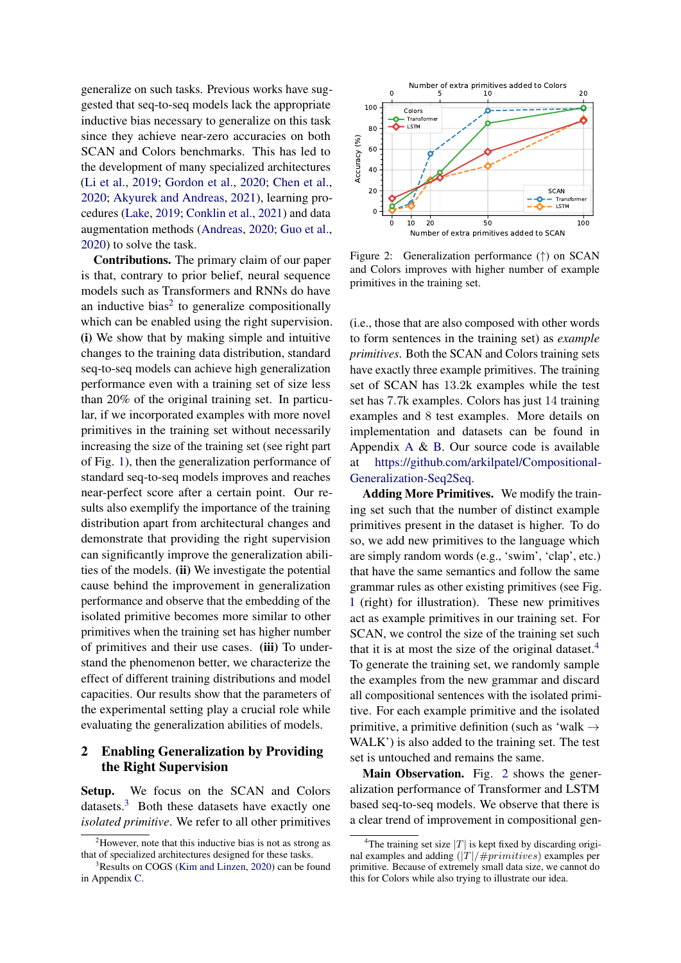generalize on such tasks. Previous works have suggested that seq-to-seq models lack the appropriate inductive bias necessary to generalize on this task since they achieve near-zero accuracies on both SCAN and Colors benchmarks. This has led to the development of many specialized architectures [\(Li et al.,](#page-5-3) [2019;](#page-5-3) [Gordon et al.,](#page-5-4) [2020;](#page-5-4) [Chen et al.,](#page-5-5) [2020;](#page-5-5) [Akyurek and Andreas,](#page-5-6) [2021\)](#page-5-6), learning procedures [\(Lake,](#page-5-7) [2019;](#page-5-7) [Conklin et al.,](#page-5-8) [2021\)](#page-5-8) and data augmentation methods [\(Andreas,](#page-5-9) [2020;](#page-5-9) [Guo et al.,](#page-5-10) [2020\)](#page-5-10) to solve the task.

Contributions. The primary claim of our paper is that, contrary to prior belief, neural sequence models such as Transformers and RNNs do have an inductive bias<sup>[2](#page-1-0)</sup> to generalize compositionally which can be enabled using the right supervision. (i) We show that by making simple and intuitive changes to the training data distribution, standard seq-to-seq models can achieve high generalization performance even with a training set of size less than 20% of the original training set. In particular, if we incorporated examples with more novel primitives in the training set without necessarily increasing the size of the training set (see right part of Fig. [1\)](#page-0-1), then the generalization performance of standard seq-to-seq models improves and reaches near-perfect score after a certain point. Our results also exemplify the importance of the training distribution apart from architectural changes and demonstrate that providing the right supervision can significantly improve the generalization abilities of the models. (ii) We investigate the potential cause behind the improvement in generalization performance and observe that the embedding of the isolated primitive becomes more similar to other primitives when the training set has higher number of primitives and their use cases. (iii) To understand the phenomenon better, we characterize the effect of different training distributions and model capacities. Our results show that the parameters of the experimental setting play a crucial role while evaluating the generalization abilities of models.

## <span id="page-1-4"></span>2 Enabling Generalization by Providing the Right Supervision

Setup. We focus on the SCAN and Colors datasets.<sup>[3](#page-1-1)</sup> Both these datasets have exactly one *isolated primitive*. We refer to all other primitives

<span id="page-1-3"></span>

Figure 2: Generalization performance (↑) on SCAN and Colors improves with higher number of example primitives in the training set.

(i.e., those that are also composed with other words to form sentences in the training set) as *example primitives*. Both the SCAN and Colors training sets have exactly three example primitives. The training set of SCAN has 13.2k examples while the test set has 7.7k examples. Colors has just 14 training examples and 8 test examples. More details on implementation and datasets can be found in Appendix [A](#page-6-1) & [B.](#page-6-2) Our source code is available at [https://github.com/arkilpatel/Compositional-](https://github.com/arkilpatel/Compositional-Generalization-Seq2Seq)[Generalization-Seq2Seq.](https://github.com/arkilpatel/Compositional-Generalization-Seq2Seq)

Adding More Primitives. We modify the training set such that the number of distinct example primitives present in the dataset is higher. To do so, we add new primitives to the language which are simply random words (e.g., 'swim', 'clap', etc.) that have the same semantics and follow the same grammar rules as other existing primitives (see Fig. [1](#page-0-1) (right) for illustration). These new primitives act as example primitives in our training set. For SCAN, we control the size of the training set such that it is at most the size of the original dataset.<sup>[4](#page-1-2)</sup> To generate the training set, we randomly sample the examples from the new grammar and discard all compositional sentences with the isolated primitive. For each example primitive and the isolated primitive, a primitive definition (such as 'walk  $\rightarrow$ WALK') is also added to the training set. The test set is untouched and remains the same.

Main Observation. Fig. [2](#page-1-3) shows the generalization performance of Transformer and LSTM based seq-to-seq models. We observe that there is a clear trend of improvement in compositional gen-

<span id="page-1-0"></span> $2$ However, note that this inductive bias is not as strong as that of specialized architectures designed for these tasks.

<span id="page-1-1"></span><sup>3</sup>Results on COGS [\(Kim and Linzen,](#page-5-11) [2020\)](#page-5-11) can be found in Appendix [C.](#page-6-0)

<span id="page-1-2"></span><sup>&</sup>lt;sup>4</sup>The training set size  $|T|$  is kept fixed by discarding original examples and adding  $(|T|/\# primitives)$  examples per primitive. Because of extremely small data size, we cannot do this for Colors while also trying to illustrate our idea.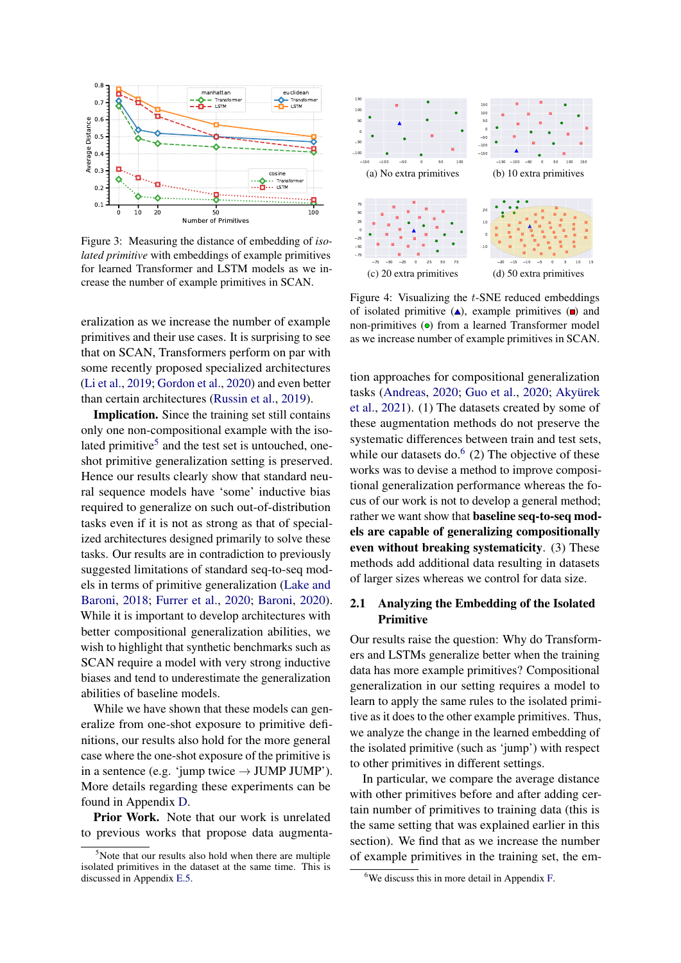<span id="page-2-2"></span>

Figure 3: Measuring the distance of embedding of *isolated primitive* with embeddings of example primitives for learned Transformer and LSTM models as we increase the number of example primitives in SCAN.

eralization as we increase the number of example primitives and their use cases. It is surprising to see that on SCAN, Transformers perform on par with some recently proposed specialized architectures [\(Li et al.,](#page-5-3) [2019;](#page-5-3) [Gordon et al.,](#page-5-4) [2020\)](#page-5-4) and even better than certain architectures [\(Russin et al.,](#page-5-12) [2019\)](#page-5-12).

Implication. Since the training set still contains only one non-compositional example with the iso-lated primitive<sup>[5](#page-2-0)</sup> and the test set is untouched, oneshot primitive generalization setting is preserved. Hence our results clearly show that standard neural sequence models have 'some' inductive bias required to generalize on such out-of-distribution tasks even if it is not as strong as that of specialized architectures designed primarily to solve these tasks. Our results are in contradiction to previously suggested limitations of standard seq-to-seq models in terms of primitive generalization [\(Lake and](#page-5-0) [Baroni,](#page-5-0) [2018;](#page-5-0) [Furrer et al.,](#page-5-1) [2020;](#page-5-1) [Baroni,](#page-5-13) [2020\)](#page-5-13). While it is important to develop architectures with better compositional generalization abilities, we wish to highlight that synthetic benchmarks such as SCAN require a model with very strong inductive biases and tend to underestimate the generalization abilities of baseline models.

While we have shown that these models can generalize from one-shot exposure to primitive definitions, our results also hold for the more general case where the one-shot exposure of the primitive is in a sentence (e.g. 'jump twice  $\rightarrow$  JUMP JUMP'). More details regarding these experiments can be found in Appendix [D.](#page-7-0)

Prior Work. Note that our work is unrelated to previous works that propose data augmenta-

<span id="page-2-3"></span>

Figure 4: Visualizing the t-SNE reduced embeddings of isolated primitive  $(A)$ , example primitives  $(A)$  and non-primitives  $\left( \bullet \right)$  from a learned Transformer model as we increase number of example primitives in SCAN.

tion approaches for compositional generalization tasks [\(Andreas,](#page-5-9) [2020;](#page-5-9) [Guo et al.,](#page-5-10) [2020;](#page-5-10) [Akyürek](#page-5-14) [et al.,](#page-5-14) [2021\)](#page-5-14). (1) The datasets created by some of these augmentation methods do not preserve the systematic differences between train and test sets, while our datasets do. $<sup>6</sup>$  $<sup>6</sup>$  $<sup>6</sup>$  (2) The objective of these</sup> works was to devise a method to improve compositional generalization performance whereas the focus of our work is not to develop a general method; rather we want show that baseline seq-to-seq models are capable of generalizing compositionally even without breaking systematicity. (3) These methods add additional data resulting in datasets of larger sizes whereas we control for data size.

## 2.1 Analyzing the Embedding of the Isolated Primitive

Our results raise the question: Why do Transformers and LSTMs generalize better when the training data has more example primitives? Compositional generalization in our setting requires a model to learn to apply the same rules to the isolated primitive as it does to the other example primitives. Thus, we analyze the change in the learned embedding of the isolated primitive (such as 'jump') with respect to other primitives in different settings.

In particular, we compare the average distance with other primitives before and after adding certain number of primitives to training data (this is the same setting that was explained earlier in this section). We find that as we increase the number of example primitives in the training set, the em-

<span id="page-2-0"></span> $5$ Note that our results also hold when there are multiple isolated primitives in the dataset at the same time. This is discussed in Appendix [E.5.](#page-9-0)

<span id="page-2-1"></span><sup>6</sup>We discuss this in more detail in Appendix [F.](#page-9-1)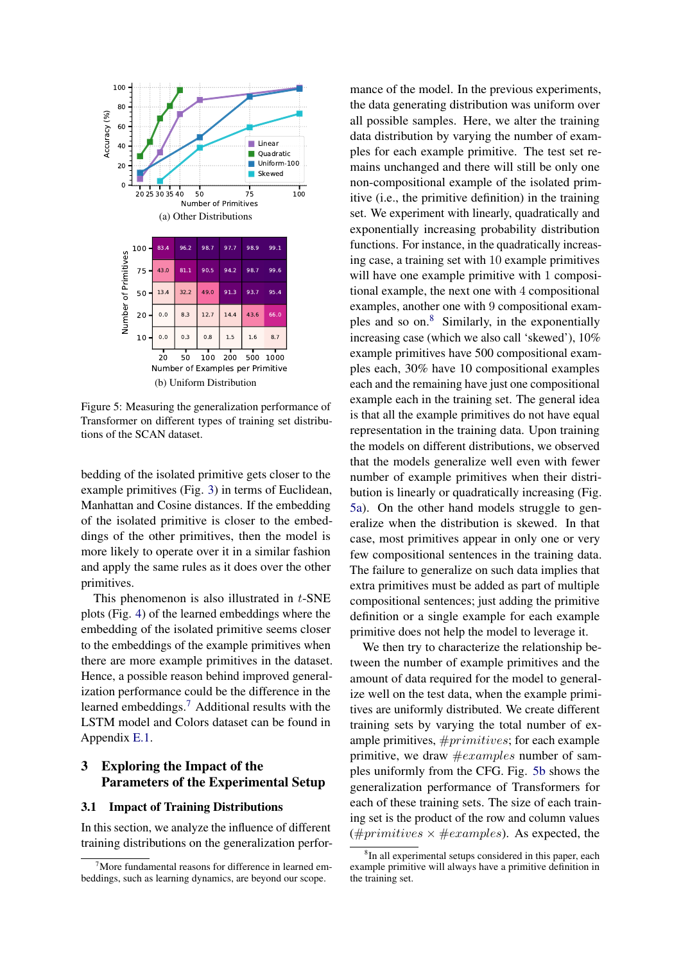<span id="page-3-3"></span><span id="page-3-2"></span>

Figure 5: Measuring the generalization performance of Transformer on different types of training set distributions of the SCAN dataset.

bedding of the isolated primitive gets closer to the example primitives (Fig. [3\)](#page-2-2) in terms of Euclidean, Manhattan and Cosine distances. If the embedding of the isolated primitive is closer to the embeddings of the other primitives, then the model is more likely to operate over it in a similar fashion and apply the same rules as it does over the other primitives.

This phenomenon is also illustrated in t-SNE plots (Fig. [4\)](#page-2-3) of the learned embeddings where the embedding of the isolated primitive seems closer to the embeddings of the example primitives when there are more example primitives in the dataset. Hence, a possible reason behind improved generalization performance could be the difference in the learned embeddings.[7](#page-3-0) Additional results with the LSTM model and Colors dataset can be found in Appendix [E.1.](#page-8-0)

## 3 Exploring the Impact of the Parameters of the Experimental Setup

### <span id="page-3-4"></span>3.1 Impact of Training Distributions

In this section, we analyze the influence of different training distributions on the generalization performance of the model. In the previous experiments, the data generating distribution was uniform over all possible samples. Here, we alter the training data distribution by varying the number of examples for each example primitive. The test set remains unchanged and there will still be only one non-compositional example of the isolated primitive (i.e., the primitive definition) in the training set. We experiment with linearly, quadratically and exponentially increasing probability distribution functions. For instance, in the quadratically increasing case, a training set with 10 example primitives will have one example primitive with 1 compositional example, the next one with 4 compositional examples, another one with 9 compositional examples and so  $\text{on.}8$  $\text{on.}8$  Similarly, in the exponentially increasing case (which we also call 'skewed'), 10% example primitives have 500 compositional examples each, 30% have 10 compositional examples each and the remaining have just one compositional example each in the training set. The general idea is that all the example primitives do not have equal representation in the training data. Upon training the models on different distributions, we observed that the models generalize well even with fewer number of example primitives when their distribution is linearly or quadratically increasing (Fig. [5a\)](#page-3-2). On the other hand models struggle to generalize when the distribution is skewed. In that case, most primitives appear in only one or very few compositional sentences in the training data. The failure to generalize on such data implies that extra primitives must be added as part of multiple compositional sentences; just adding the primitive definition or a single example for each example primitive does not help the model to leverage it.

We then try to characterize the relationship between the number of example primitives and the amount of data required for the model to generalize well on the test data, when the example primitives are uniformly distributed. We create different training sets by varying the total number of example primitives, #primitives; for each example primitive, we draw  $\#examples$  number of samples uniformly from the CFG. Fig. [5b](#page-3-3) shows the generalization performance of Transformers for each of these training sets. The size of each training set is the product of the row and column values (#primitives  $\times$  #examples). As expected, the

<span id="page-3-0"></span> $7$ More fundamental reasons for difference in learned embeddings, such as learning dynamics, are beyond our scope.

<span id="page-3-1"></span><sup>8</sup> In all experimental setups considered in this paper, each example primitive will always have a primitive definition in the training set.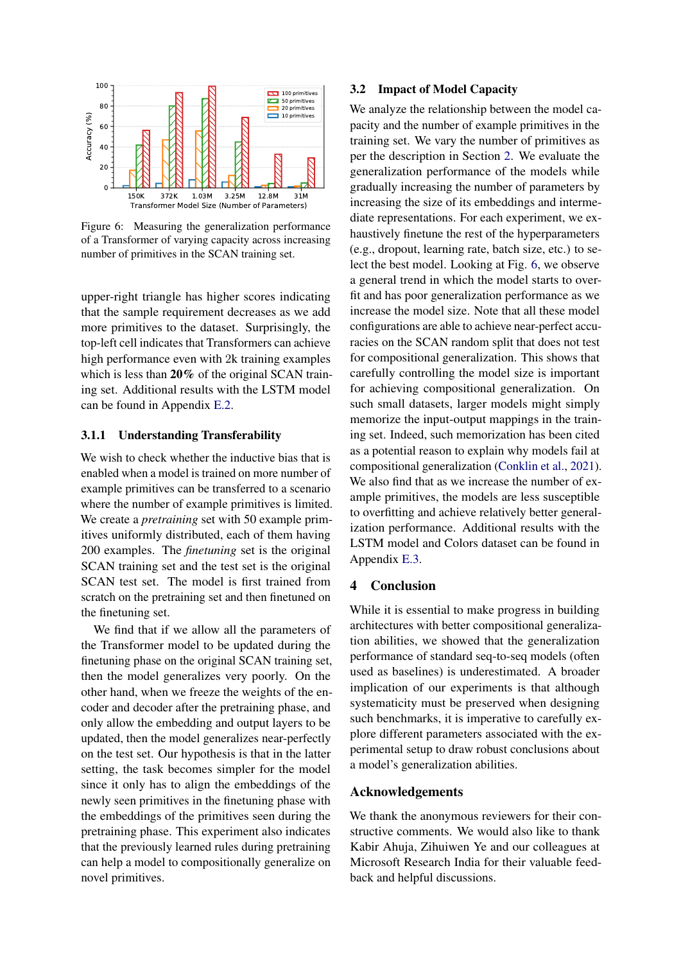<span id="page-4-0"></span>

Figure 6: Measuring the generalization performance of a Transformer of varying capacity across increasing number of primitives in the SCAN training set.

upper-right triangle has higher scores indicating that the sample requirement decreases as we add more primitives to the dataset. Surprisingly, the top-left cell indicates that Transformers can achieve high performance even with 2k training examples which is less than 20% of the original SCAN training set. Additional results with the LSTM model can be found in Appendix [E.2.](#page-8-1)

### 3.1.1 Understanding Transferability

We wish to check whether the inductive bias that is enabled when a model is trained on more number of example primitives can be transferred to a scenario where the number of example primitives is limited. We create a *pretraining* set with 50 example primitives uniformly distributed, each of them having 200 examples. The *finetuning* set is the original SCAN training set and the test set is the original SCAN test set. The model is first trained from scratch on the pretraining set and then finetuned on the finetuning set.

We find that if we allow all the parameters of the Transformer model to be updated during the finetuning phase on the original SCAN training set, then the model generalizes very poorly. On the other hand, when we freeze the weights of the encoder and decoder after the pretraining phase, and only allow the embedding and output layers to be updated, then the model generalizes near-perfectly on the test set. Our hypothesis is that in the latter setting, the task becomes simpler for the model since it only has to align the embeddings of the newly seen primitives in the finetuning phase with the embeddings of the primitives seen during the pretraining phase. This experiment also indicates that the previously learned rules during pretraining can help a model to compositionally generalize on novel primitives.

#### <span id="page-4-1"></span>3.2 Impact of Model Capacity

We analyze the relationship between the model capacity and the number of example primitives in the training set. We vary the number of primitives as per the description in Section [2.](#page-1-4) We evaluate the generalization performance of the models while gradually increasing the number of parameters by increasing the size of its embeddings and intermediate representations. For each experiment, we exhaustively finetune the rest of the hyperparameters (e.g., dropout, learning rate, batch size, etc.) to select the best model. Looking at Fig. [6,](#page-4-0) we observe a general trend in which the model starts to overfit and has poor generalization performance as we increase the model size. Note that all these model configurations are able to achieve near-perfect accuracies on the SCAN random split that does not test for compositional generalization. This shows that carefully controlling the model size is important for achieving compositional generalization. On such small datasets, larger models might simply memorize the input-output mappings in the training set. Indeed, such memorization has been cited as a potential reason to explain why models fail at compositional generalization [\(Conklin et al.,](#page-5-8) [2021\)](#page-5-8). We also find that as we increase the number of example primitives, the models are less susceptible to overfitting and achieve relatively better generalization performance. Additional results with the LSTM model and Colors dataset can be found in Appendix [E.3.](#page-9-2)

### 4 Conclusion

While it is essential to make progress in building architectures with better compositional generalization abilities, we showed that the generalization performance of standard seq-to-seq models (often used as baselines) is underestimated. A broader implication of our experiments is that although systematicity must be preserved when designing such benchmarks, it is imperative to carefully explore different parameters associated with the experimental setup to draw robust conclusions about a model's generalization abilities.

### Acknowledgements

We thank the anonymous reviewers for their constructive comments. We would also like to thank Kabir Ahuja, Zihuiwen Ye and our colleagues at Microsoft Research India for their valuable feedback and helpful discussions.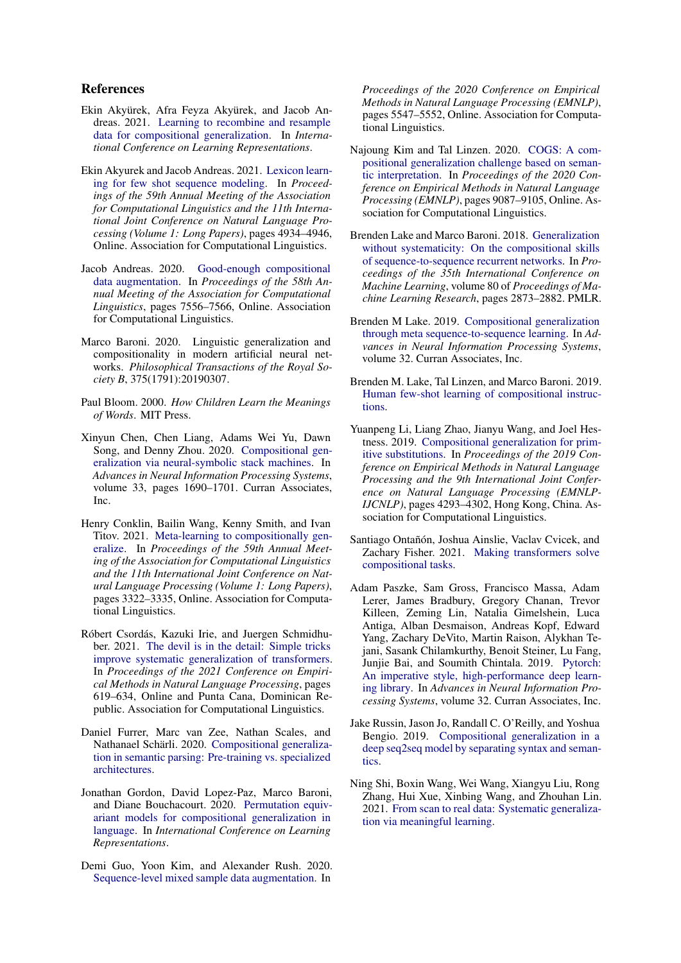### References

- <span id="page-5-14"></span>Ekin Akyürek, Afra Feyza Akyürek, and Jacob Andreas. 2021. [Learning to recombine and resample](https://openreview.net/forum?id=PS3IMnScugk) [data for compositional generalization.](https://openreview.net/forum?id=PS3IMnScugk) In *International Conference on Learning Representations*.
- <span id="page-5-6"></span>Ekin Akyurek and Jacob Andreas. 2021. [Lexicon learn](https://doi.org/10.18653/v1/2021.acl-long.382)[ing for few shot sequence modeling.](https://doi.org/10.18653/v1/2021.acl-long.382) In *Proceedings of the 59th Annual Meeting of the Association for Computational Linguistics and the 11th International Joint Conference on Natural Language Processing (Volume 1: Long Papers)*, pages 4934–4946, Online. Association for Computational Linguistics.
- <span id="page-5-9"></span>Jacob Andreas. 2020. [Good-enough compositional](https://doi.org/10.18653/v1/2020.acl-main.676) [data augmentation.](https://doi.org/10.18653/v1/2020.acl-main.676) In *Proceedings of the 58th Annual Meeting of the Association for Computational Linguistics*, pages 7556–7566, Online. Association for Computational Linguistics.
- <span id="page-5-13"></span>Marco Baroni. 2020. Linguistic generalization and compositionality in modern artificial neural networks. *Philosophical Transactions of the Royal Society B*, 375(1791):20190307.
- <span id="page-5-18"></span>Paul Bloom. 2000. *How Children Learn the Meanings of Words*. MIT Press.
- <span id="page-5-5"></span>Xinyun Chen, Chen Liang, Adams Wei Yu, Dawn Song, and Denny Zhou. 2020. [Compositional gen](https://proceedings.neurips.cc/paper/2020/file/12b1e42dc0746f22cf361267de07073f-Paper.pdf)[eralization via neural-symbolic stack machines.](https://proceedings.neurips.cc/paper/2020/file/12b1e42dc0746f22cf361267de07073f-Paper.pdf) In *Advances in Neural Information Processing Systems*, volume 33, pages 1690–1701. Curran Associates, Inc.
- <span id="page-5-8"></span>Henry Conklin, Bailin Wang, Kenny Smith, and Ivan Titov. 2021. [Meta-learning to compositionally gen](https://doi.org/10.18653/v1/2021.acl-long.258)[eralize.](https://doi.org/10.18653/v1/2021.acl-long.258) In *Proceedings of the 59th Annual Meeting of the Association for Computational Linguistics and the 11th International Joint Conference on Natural Language Processing (Volume 1: Long Papers)*, pages 3322–3335, Online. Association for Computational Linguistics.
- <span id="page-5-16"></span>Róbert Csordás, Kazuki Irie, and Juergen Schmidhuber. 2021. [The devil is in the detail: Simple tricks](https://aclanthology.org/2021.emnlp-main.49) [improve systematic generalization of transformers.](https://aclanthology.org/2021.emnlp-main.49) In *Proceedings of the 2021 Conference on Empirical Methods in Natural Language Processing*, pages 619–634, Online and Punta Cana, Dominican Republic. Association for Computational Linguistics.
- <span id="page-5-1"></span>Daniel Furrer, Marc van Zee, Nathan Scales, and Nathanael Schärli. 2020. [Compositional generaliza](http://arxiv.org/abs/2007.08970)[tion in semantic parsing: Pre-training vs. specialized](http://arxiv.org/abs/2007.08970) [architectures.](http://arxiv.org/abs/2007.08970)
- <span id="page-5-4"></span>Jonathan Gordon, David Lopez-Paz, Marco Baroni, and Diane Bouchacourt. 2020. [Permutation equiv](https://openreview.net/forum?id=SylVNerFvr)[ariant models for compositional generalization in](https://openreview.net/forum?id=SylVNerFvr) [language.](https://openreview.net/forum?id=SylVNerFvr) In *International Conference on Learning Representations*.
- <span id="page-5-10"></span>Demi Guo, Yoon Kim, and Alexander Rush. 2020. [Sequence-level mixed sample data augmentation.](https://doi.org/10.18653/v1/2020.emnlp-main.447) In

*Proceedings of the 2020 Conference on Empirical Methods in Natural Language Processing (EMNLP)*, pages 5547–5552, Online. Association for Computational Linguistics.

- <span id="page-5-11"></span>Najoung Kim and Tal Linzen. 2020. [COGS: A com](https://doi.org/10.18653/v1/2020.emnlp-main.731)[positional generalization challenge based on seman](https://doi.org/10.18653/v1/2020.emnlp-main.731)[tic interpretation.](https://doi.org/10.18653/v1/2020.emnlp-main.731) In *Proceedings of the 2020 Conference on Empirical Methods in Natural Language Processing (EMNLP)*, pages 9087–9105, Online. Association for Computational Linguistics.
- <span id="page-5-0"></span>Brenden Lake and Marco Baroni. 2018. [Generalization](https://proceedings.mlr.press/v80/lake18a.html) [without systematicity: On the compositional skills](https://proceedings.mlr.press/v80/lake18a.html) [of sequence-to-sequence recurrent networks.](https://proceedings.mlr.press/v80/lake18a.html) In *Proceedings of the 35th International Conference on Machine Learning*, volume 80 of *Proceedings of Machine Learning Research*, pages 2873–2882. PMLR.
- <span id="page-5-7"></span>Brenden M Lake. 2019. [Compositional generalization](https://proceedings.neurips.cc/paper/2019/file/f4d0e2e7fc057a58f7ca4a391f01940a-Paper.pdf) [through meta sequence-to-sequence learning.](https://proceedings.neurips.cc/paper/2019/file/f4d0e2e7fc057a58f7ca4a391f01940a-Paper.pdf) In *Advances in Neural Information Processing Systems*, volume 32. Curran Associates, Inc.
- <span id="page-5-2"></span>Brenden M. Lake, Tal Linzen, and Marco Baroni. 2019. [Human few-shot learning of compositional instruc](http://arxiv.org/abs/1901.04587)[tions.](http://arxiv.org/abs/1901.04587)
- <span id="page-5-3"></span>Yuanpeng Li, Liang Zhao, Jianyu Wang, and Joel Hestness. 2019. [Compositional generalization for prim](https://doi.org/10.18653/v1/D19-1438)[itive substitutions.](https://doi.org/10.18653/v1/D19-1438) In *Proceedings of the 2019 Conference on Empirical Methods in Natural Language Processing and the 9th International Joint Conference on Natural Language Processing (EMNLP-IJCNLP)*, pages 4293–4302, Hong Kong, China. Association for Computational Linguistics.
- <span id="page-5-17"></span>Santiago Ontañón, Joshua Ainslie, Vaclav Cvicek, and Zachary Fisher. 2021. [Making transformers solve](http://arxiv.org/abs/2108.04378) [compositional tasks.](http://arxiv.org/abs/2108.04378)
- <span id="page-5-15"></span>Adam Paszke, Sam Gross, Francisco Massa, Adam Lerer, James Bradbury, Gregory Chanan, Trevor Killeen, Zeming Lin, Natalia Gimelshein, Luca Antiga, Alban Desmaison, Andreas Kopf, Edward Yang, Zachary DeVito, Martin Raison, Alykhan Tejani, Sasank Chilamkurthy, Benoit Steiner, Lu Fang, Junjie Bai, and Soumith Chintala. 2019. [Pytorch:](https://proceedings.neurips.cc/paper/2019/file/bdbca288fee7f92f2bfa9f7012727740-Paper.pdf) [An imperative style, high-performance deep learn](https://proceedings.neurips.cc/paper/2019/file/bdbca288fee7f92f2bfa9f7012727740-Paper.pdf)[ing library.](https://proceedings.neurips.cc/paper/2019/file/bdbca288fee7f92f2bfa9f7012727740-Paper.pdf) In *Advances in Neural Information Processing Systems*, volume 32. Curran Associates, Inc.
- <span id="page-5-12"></span>Jake Russin, Jason Jo, Randall C. O'Reilly, and Yoshua Bengio. 2019. [Compositional generalization in a](http://arxiv.org/abs/1904.09708) [deep seq2seq model by separating syntax and seman](http://arxiv.org/abs/1904.09708)[tics.](http://arxiv.org/abs/1904.09708)
- <span id="page-5-19"></span>Ning Shi, Boxin Wang, Wei Wang, Xiangyu Liu, Rong Zhang, Hui Xue, Xinbing Wang, and Zhouhan Lin. 2021. [From scan to real data: Systematic generaliza](http://arxiv.org/abs/2003.06658)[tion via meaningful learning.](http://arxiv.org/abs/2003.06658)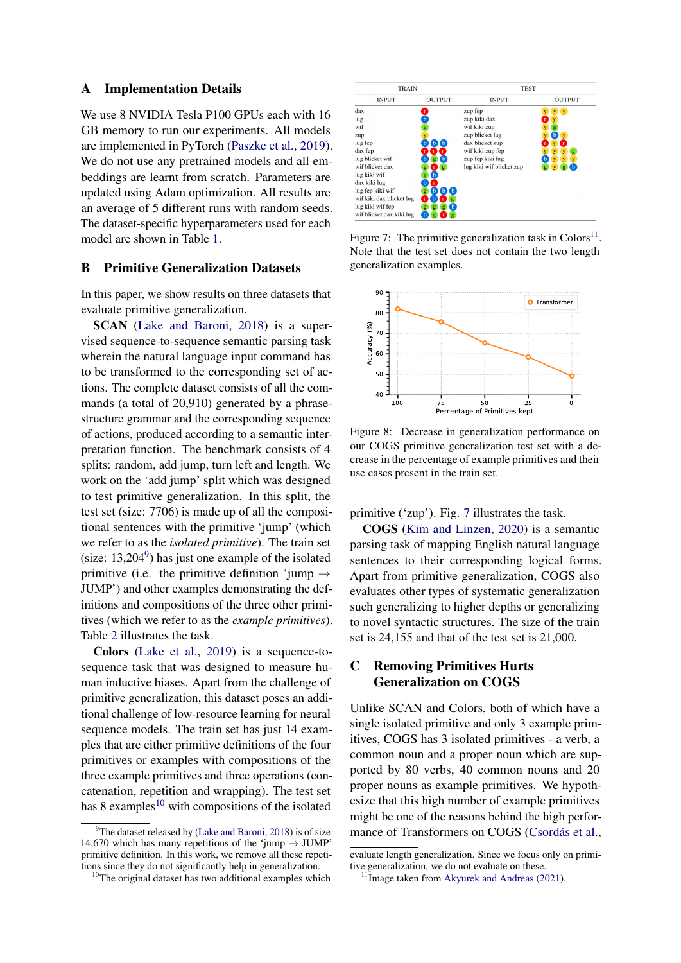#### <span id="page-6-1"></span>A Implementation Details

We use 8 NVIDIA Tesla P100 GPUs each with 16 GB memory to run our experiments. All models are implemented in PyTorch [\(Paszke et al.,](#page-5-15) [2019\)](#page-5-15). We do not use any pretrained models and all embeddings are learnt from scratch. Parameters are updated using Adam optimization. All results are an average of 5 different runs with random seeds. The dataset-specific hyperparameters used for each model are shown in Table [1.](#page-7-1)

### <span id="page-6-2"></span>B Primitive Generalization Datasets

In this paper, we show results on three datasets that evaluate primitive generalization.

SCAN [\(Lake and Baroni,](#page-5-0) [2018\)](#page-5-0) is a supervised sequence-to-sequence semantic parsing task wherein the natural language input command has to be transformed to the corresponding set of actions. The complete dataset consists of all the commands (a total of 20,910) generated by a phrasestructure grammar and the corresponding sequence of actions, produced according to a semantic interpretation function. The benchmark consists of 4 splits: random, add jump, turn left and length. We work on the 'add jump' split which was designed to test primitive generalization. In this split, the test set (size: 7706) is made up of all the compositional sentences with the primitive 'jump' (which we refer to as the *isolated primitive*). The train set (size:  $13,204^9$  $13,204^9$ ) has just one example of the isolated primitive (i.e. the primitive definition 'jump  $\rightarrow$ JUMP') and other examples demonstrating the definitions and compositions of the three other primitives (which we refer to as the *example primitives*). Table [2](#page-7-2) illustrates the task.

Colors [\(Lake et al.,](#page-5-2) [2019\)](#page-5-2) is a sequence-tosequence task that was designed to measure human inductive biases. Apart from the challenge of primitive generalization, this dataset poses an additional challenge of low-resource learning for neural sequence models. The train set has just 14 examples that are either primitive definitions of the four primitives or examples with compositions of the three example primitives and three operations (concatenation, repetition and wrapping). The test set has 8 examples<sup>[10](#page-6-4)</sup> with compositions of the isolated

<span id="page-6-6"></span>

| <b>TRAIN</b>             |                              | <b>TEST</b>              |               |  |
|--------------------------|------------------------------|--------------------------|---------------|--|
| <b>INPUT</b>             | <b>OUTPUT</b>                | <b>INPUT</b>             | <b>OUTPUT</b> |  |
| dax                      |                              | zup fep                  | $\mathbf{y}$  |  |
| lug                      | b                            | zup kiki dax             |               |  |
| wif                      |                              | wif kiki zup             | $\mathbf{p}$  |  |
| zup                      |                              | zup blicket lug          | $\mathbf{v}$  |  |
| lug fep                  |                              | dax blicket zup          |               |  |
| dax fep                  |                              | wif kiki zup fep         |               |  |
| lug blicket wif          |                              | zup fep kiki lug         |               |  |
| wif blicket dax          | $\mathbf{g}$                 | lug kiki wif blicket zup |               |  |
| lug kiki wif             |                              |                          |               |  |
| dax kiki lug             |                              |                          |               |  |
| lug fep kiki wif         | YЬ<br>Ъ.<br>h                |                          |               |  |
| wif kiki dax blicket lug | b<br>$\overline{\mathbf{p}}$ |                          |               |  |
| lug kiki wif fep         | `b<br>g<br>$\mathbf{g}$      |                          |               |  |
| wif blicket dax kiki lug | $\overline{\mathbf{a}}$      |                          |               |  |

Figure 7: The primitive generalization task in Colors<sup>[11](#page-6-5)</sup>. Note that the test set does not contain the two length generalization examples.

<span id="page-6-7"></span>

Figure 8: Decrease in generalization performance on our COGS primitive generalization test set with a decrease in the percentage of example primitives and their use cases present in the train set.

primitive ('zup'). Fig. [7](#page-6-6) illustrates the task.

COGS [\(Kim and Linzen,](#page-5-11) [2020\)](#page-5-11) is a semantic parsing task of mapping English natural language sentences to their corresponding logical forms. Apart from primitive generalization, COGS also evaluates other types of systematic generalization such generalizing to higher depths or generalizing to novel syntactic structures. The size of the train set is 24,155 and that of the test set is 21,000.

## <span id="page-6-0"></span>C Removing Primitives Hurts Generalization on COGS

Unlike SCAN and Colors, both of which have a single isolated primitive and only 3 example primitives, COGS has 3 isolated primitives - a verb, a common noun and a proper noun which are supported by 80 verbs, 40 common nouns and 20 proper nouns as example primitives. We hypothesize that this high number of example primitives might be one of the reasons behind the high performance of Transformers on COGS [\(Csordás et al.,](#page-5-16)

<span id="page-6-3"></span><sup>&</sup>lt;sup>9</sup>The dataset released by [\(Lake and Baroni,](#page-5-0) [2018\)](#page-5-0) is of size 14,670 which has many repetitions of the 'jump  $\rightarrow$  JUMP' primitive definition. In this work, we remove all these repetitions since they do not significantly help in generalization.

<span id="page-6-4"></span><sup>&</sup>lt;sup>10</sup>The original dataset has two additional examples which

evaluate length generalization. Since we focus only on primitive generalization, we do not evaluate on these.

<span id="page-6-5"></span><sup>&</sup>lt;sup>11</sup>Image taken from [Akyurek and Andreas](#page-5-6) [\(2021\)](#page-5-6).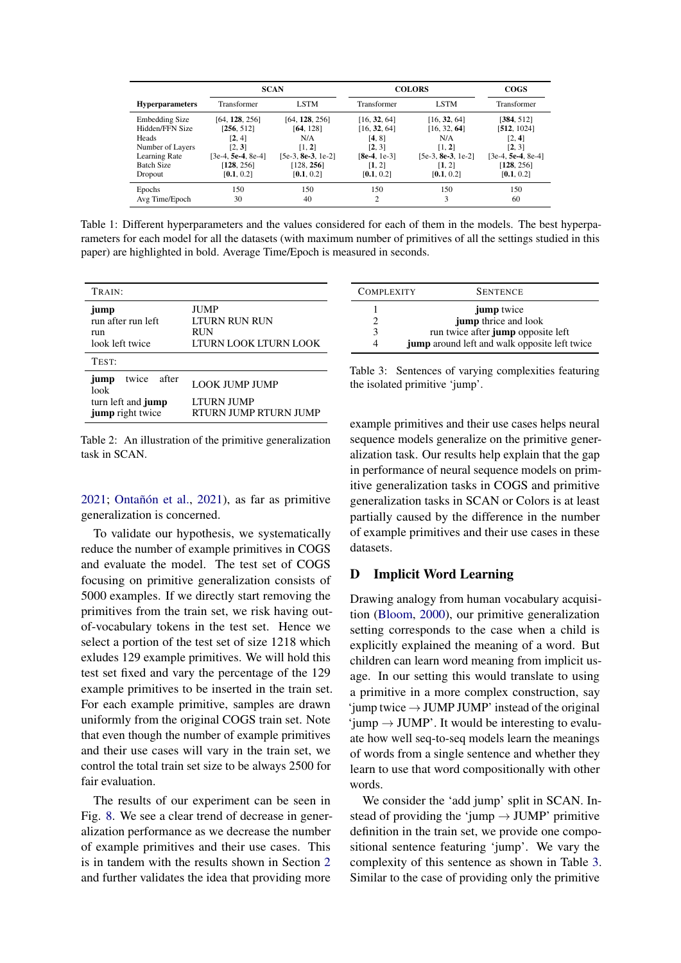<span id="page-7-1"></span>

|                        | <b>SCAN</b>          |                      | <b>COLORS</b>  |                    | <b>COGS</b>          |
|------------------------|----------------------|----------------------|----------------|--------------------|----------------------|
| <b>Hyperparameters</b> | Transformer          | <b>LSTM</b>          | Transformer    | <b>LSTM</b>        | Transformer          |
| <b>Embedding Size</b>  | [64, 128, 256]       | [64, 128, 256]       | [16, 32, 64]   | [16, 32, 64]       | [384, 512]           |
| Hidden/FFN Size        | [256, 512]           | [64, 128]            | [16, 32, 64]   | [16, 32, 64]       | [512, 1024]          |
| Heads                  | [2, 4]               | N/A                  | [4, 8]         | N/A                | [2, 4]               |
| Number of Layers       | [2, 3]               | [1, 2]               | [2, 3]         | [1, 2]             | [2, 3]               |
| Learning Rate          | $[3e-4, 5e-4, 8e-4]$ | $[5e-3, 8e-3, 1e-2]$ | $[8e-4, 1e-3]$ | [5e-3, 8e-3, 1e-2] | $[3e-4, 5e-4, 8e-4]$ |
| <b>Batch Size</b>      | [128, 256]           | [128, 256]           | [1, 2]         | [1, 2]             | [128, 256]           |
| Dropout                | [0.1, 0.2]           | [0.1, 0.2]           | [0.1, 0.2]     | [0.1, 0.2]         | [0.1, 0.2]           |
| Epochs                 | 150                  | 150                  | 150            | 150                | 150                  |
| Avg Time/Epoch         | 30                   | 40                   | $\overline{c}$ | 3                  | 60                   |

Table 1: Different hyperparameters and the values considered for each of them in the models. The best hyperparameters for each model for all the datasets (with maximum number of primitives of all the settings studied in this paper) are highlighted in bold. Average Time/Epoch is measured in seconds.

<span id="page-7-2"></span>

| TRAIN:                                               |                                                                            |  |  |
|------------------------------------------------------|----------------------------------------------------------------------------|--|--|
| jump<br>run after run left<br>run<br>look left twice | <b>JUMP</b><br><b>LTURN RUN RUN</b><br><b>RUN</b><br>LTURN LOOK LTURN LOOK |  |  |
| TEST:                                                |                                                                            |  |  |
| twice<br>after<br>jump<br>look<br>turn left and jump | <b>LOOK JUMP JUMP</b><br><b>LTURN JUMP</b>                                 |  |  |
| jump right twice                                     | <b>RTURN JUMP RTURN JUMP</b>                                               |  |  |

Table 2: An illustration of the primitive generalization task in SCAN.

[2021;](#page-5-16) [Ontañón et al.,](#page-5-17) [2021\)](#page-5-17), as far as primitive generalization is concerned.

To validate our hypothesis, we systematically reduce the number of example primitives in COGS and evaluate the model. The test set of COGS focusing on primitive generalization consists of 5000 examples. If we directly start removing the primitives from the train set, we risk having outof-vocabulary tokens in the test set. Hence we select a portion of the test set of size 1218 which exludes 129 example primitives. We will hold this test set fixed and vary the percentage of the 129 example primitives to be inserted in the train set. For each example primitive, samples are drawn uniformly from the original COGS train set. Note that even though the number of example primitives and their use cases will vary in the train set, we control the total train set size to be always 2500 for fair evaluation.

The results of our experiment can be seen in Fig. [8.](#page-6-7) We see a clear trend of decrease in generalization performance as we decrease the number of example primitives and their use cases. This is in tandem with the results shown in Section [2](#page-1-4) and further validates the idea that providing more

<span id="page-7-3"></span>

| <b>COMPLEXITY</b> | <b>SENTENCE</b>                               |
|-------------------|-----------------------------------------------|
|                   | <b>jump</b> twice                             |
|                   | jump thrice and look                          |
| 3                 | run twice after jump opposite left            |
|                   | jump around left and walk opposite left twice |

Table 3: Sentences of varying complexities featuring the isolated primitive 'jump'.

example primitives and their use cases helps neural sequence models generalize on the primitive generalization task. Our results help explain that the gap in performance of neural sequence models on primitive generalization tasks in COGS and primitive generalization tasks in SCAN or Colors is at least partially caused by the difference in the number of example primitives and their use cases in these datasets.

### <span id="page-7-0"></span>D Implicit Word Learning

Drawing analogy from human vocabulary acquisition [\(Bloom,](#page-5-18) [2000\)](#page-5-18), our primitive generalization setting corresponds to the case when a child is explicitly explained the meaning of a word. But children can learn word meaning from implicit usage. In our setting this would translate to using a primitive in a more complex construction, say  $'jump twice \rightarrow JUMP JUMP' instead of the original$  $\text{'jump} \rightarrow \text{JUMP'}$ . It would be interesting to evaluate how well seq-to-seq models learn the meanings of words from a single sentence and whether they learn to use that word compositionally with other words.

We consider the 'add jump' split in SCAN. Instead of providing the 'jump  $\rightarrow$  JUMP' primitive definition in the train set, we provide one compositional sentence featuring 'jump'. We vary the complexity of this sentence as shown in Table [3.](#page-7-3) Similar to the case of providing only the primitive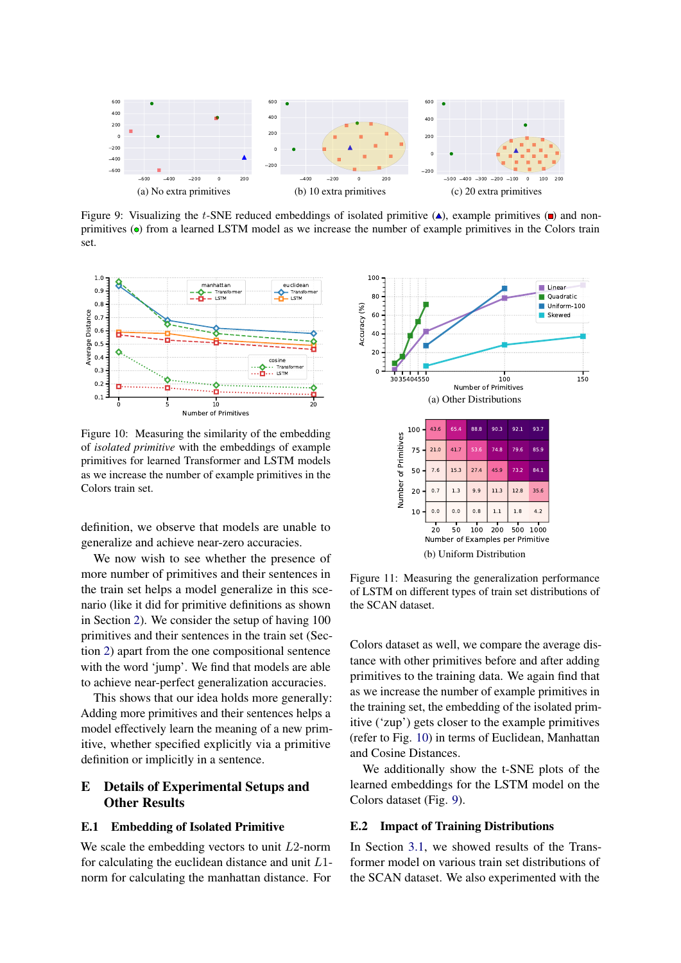<span id="page-8-3"></span>

Figure 9: Visualizing the t-SNE reduced embeddings of isolated primitive  $(\triangle)$ , example primitives ( $\Box$ ) and nonprimitives ( $\bullet$ ) from a learned LSTM model as we increase the number of example primitives in the Colors train set.

<span id="page-8-2"></span>

Figure 10: Measuring the similarity of the embedding of *isolated primitive* with the embeddings of example primitives for learned Transformer and LSTM models as we increase the number of example primitives in the Colors train set.

definition, we observe that models are unable to generalize and achieve near-zero accuracies.

We now wish to see whether the presence of more number of primitives and their sentences in the train set helps a model generalize in this scenario (like it did for primitive definitions as shown in Section [2\)](#page-1-4). We consider the setup of having 100 primitives and their sentences in the train set (Section [2\)](#page-1-4) apart from the one compositional sentence with the word 'jump'. We find that models are able to achieve near-perfect generalization accuracies.

This shows that our idea holds more generally: Adding more primitives and their sentences helps a model effectively learn the meaning of a new primitive, whether specified explicitly via a primitive definition or implicitly in a sentence.

## E Details of Experimental Setups and Other Results

#### <span id="page-8-0"></span>E.1 Embedding of Isolated Primitive

We scale the embedding vectors to unit  $L2$ -norm for calculating the euclidean distance and unit  $L1$ norm for calculating the manhattan distance. For

<span id="page-8-4"></span>

Figure 11: Measuring the generalization performance of LSTM on different types of train set distributions of the SCAN dataset.

Colors dataset as well, we compare the average distance with other primitives before and after adding primitives to the training data. We again find that as we increase the number of example primitives in the training set, the embedding of the isolated primitive ('zup') gets closer to the example primitives (refer to Fig. [10\)](#page-8-2) in terms of Euclidean, Manhattan and Cosine Distances.

We additionally show the t-SNE plots of the learned embeddings for the LSTM model on the Colors dataset (Fig. [9\)](#page-8-3).

#### <span id="page-8-1"></span>E.2 Impact of Training Distributions

In Section [3.1,](#page-3-4) we showed results of the Transformer model on various train set distributions of the SCAN dataset. We also experimented with the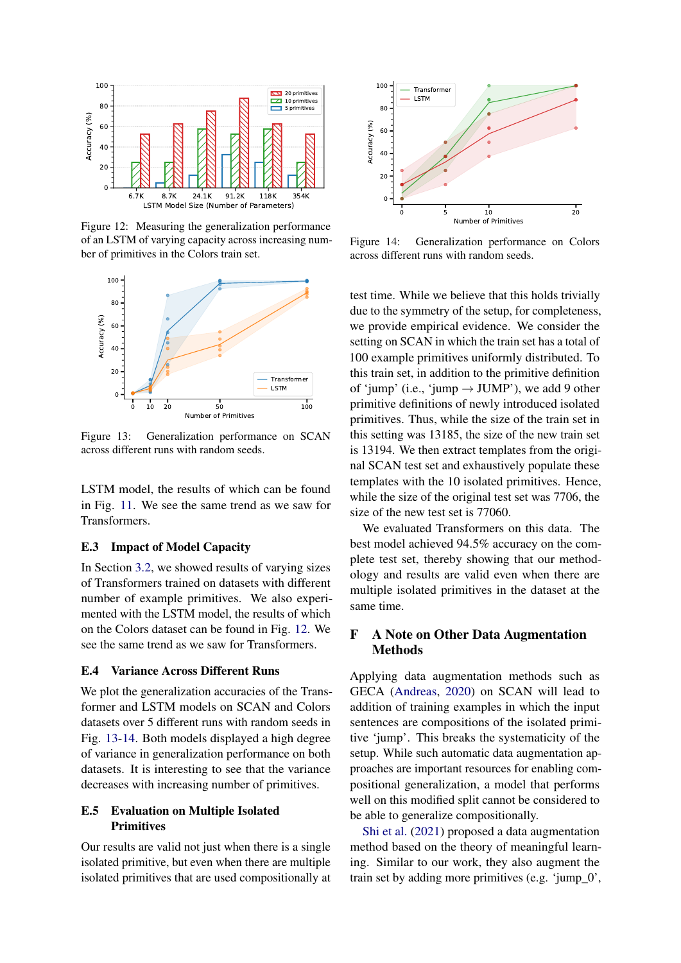<span id="page-9-3"></span>

Figure 12: Measuring the generalization performance of an LSTM of varying capacity across increasing number of primitives in the Colors train set.

<span id="page-9-4"></span>

Figure 13: Generalization performance on SCAN across different runs with random seeds.

LSTM model, the results of which can be found in Fig. [11.](#page-8-4) We see the same trend as we saw for Transformers.

### <span id="page-9-2"></span>E.3 Impact of Model Capacity

In Section [3.2,](#page-4-1) we showed results of varying sizes of Transformers trained on datasets with different number of example primitives. We also experimented with the LSTM model, the results of which on the Colors dataset can be found in Fig. [12.](#page-9-3) We see the same trend as we saw for Transformers.

#### E.4 Variance Across Different Runs

We plot the generalization accuracies of the Transformer and LSTM models on SCAN and Colors datasets over 5 different runs with random seeds in Fig. [13](#page-9-4)[-14.](#page-9-5) Both models displayed a high degree of variance in generalization performance on both datasets. It is interesting to see that the variance decreases with increasing number of primitives.

## <span id="page-9-0"></span>E.5 Evaluation on Multiple Isolated **Primitives**

Our results are valid not just when there is a single isolated primitive, but even when there are multiple isolated primitives that are used compositionally at

<span id="page-9-5"></span>

Figure 14: Generalization performance on Colors across different runs with random seeds.

test time. While we believe that this holds trivially due to the symmetry of the setup, for completeness, we provide empirical evidence. We consider the setting on SCAN in which the train set has a total of 100 example primitives uniformly distributed. To this train set, in addition to the primitive definition of 'jump' (i.e., 'jump  $\rightarrow$  JUMP'), we add 9 other primitive definitions of newly introduced isolated primitives. Thus, while the size of the train set in this setting was 13185, the size of the new train set is 13194. We then extract templates from the original SCAN test set and exhaustively populate these templates with the 10 isolated primitives. Hence, while the size of the original test set was 7706, the size of the new test set is 77060.

We evaluated Transformers on this data. The best model achieved 94.5% accuracy on the complete test set, thereby showing that our methodology and results are valid even when there are multiple isolated primitives in the dataset at the same time.

## <span id="page-9-1"></span>F A Note on Other Data Augmentation Methods

Applying data augmentation methods such as GECA [\(Andreas,](#page-5-9) [2020\)](#page-5-9) on SCAN will lead to addition of training examples in which the input sentences are compositions of the isolated primitive 'jump'. This breaks the systematicity of the setup. While such automatic data augmentation approaches are important resources for enabling compositional generalization, a model that performs well on this modified split cannot be considered to be able to generalize compositionally.

[Shi et al.](#page-5-19) [\(2021\)](#page-5-19) proposed a data augmentation method based on the theory of meaningful learning. Similar to our work, they also augment the train set by adding more primitives (e.g. 'jump\_0',